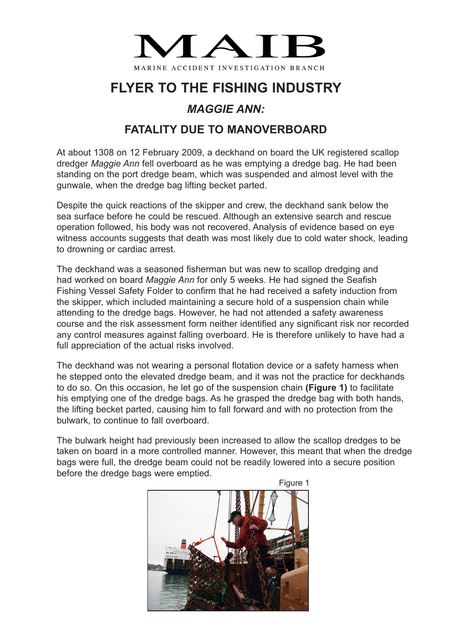

## **FLYER TO THE FISHING INDUSTRY**

## *MAGGIE ANN:*

## **FATALITY DUE TO MANOVERBOARD**

At about 1308 on 12 February 2009, a deckhand on board the UK registered scallop dredger *Maggie Ann* fell overboard as he was emptying a dredge bag. He had been standing on the port dredge beam, which was suspended and almost level with the gunwale, when the dredge bag lifting becket parted.

Despite the quick reactions of the skipper and crew, the deckhand sank below the sea surface before he could be rescued. Although an extensive search and rescue operation followed, his body was not recovered. Analysis of evidence based on eye witness accounts suggests that death was most likely due to cold water shock, leading to drowning or cardiac arrest.

The deckhand was a seasoned fisherman but was new to scallop dredging and had worked on board *Maggie Ann* for only 5 weeks. He had signed the Seafish Fishing Vessel Safety Folder to confirm that he had received a safety induction from the skipper, which included maintaining a secure hold of a suspension chain while attending to the dredge bags. However, he had not attended a safety awareness course and the risk assessment form neither identified any significant risk nor recorded any control measures against falling overboard. He is therefore unlikely to have had a full appreciation of the actual risks involved.

The deckhand was not wearing a personal flotation device or a safety harness when he stepped onto the elevated dredge beam, and it was not the practice for deckhands to do so. On this occasion, he let go of the suspension chain **(Figure 1)** to facilitate his emptying one of the dredge bags. As he grasped the dredge bag with both hands, the lifting becket parted, causing him to fall forward and with no protection from the bulwark, to continue to fall overboard.

The bulwark height had previously been increased to allow the scallop dredges to be taken on board in a more controlled manner. However, this meant that when the dredge bags were full, the dredge beam could not be readily lowered into a secure position before the dredge bags were emptied.



Figure 1